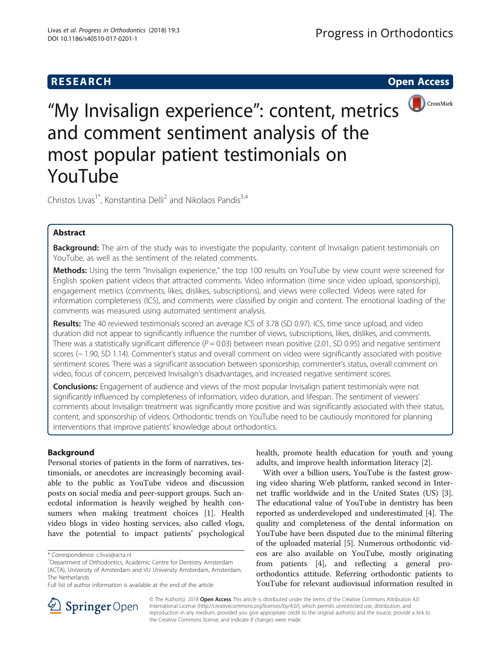# **RESEARCH CHE Open Access**



"My Invisalign experience": content, metrics and comment sentiment analysis of the most popular patient testimonials on YouTube

Christos Livas<sup>1\*</sup>, Konstantina Delli<sup>2</sup> and Nikolaos Pandis<sup>3,4</sup>

# Abstract

Background: The aim of the study was to investigate the popularity, content of Invisalign patient testimonials on YouTube, as well as the sentiment of the related comments.

Methods: Using the term "Invisalign experience," the top 100 results on YouTube by view count were screened for English spoken patient videos that attracted comments. Video information (time since video upload, sponsorship), engagement metrics (comments, likes, dislikes, subscriptions), and views were collected. Videos were rated for information completeness (ICS), and comments were classified by origin and content. The emotional loading of the comments was measured using automated sentiment analysis.

Results: The 40 reviewed testimonials scored an average ICS of 3.78 (SD 0.97). ICS, time since upload, and video duration did not appear to significantly influence the number of views, subscriptions, likes, dislikes, and comments. There was a statistically significant difference ( $P = 0.03$ ) between mean positive (2.01, SD 0.95) and negative sentiment scores (– 1.90, SD 1.14). Commenter's status and overall comment on video were significantly associated with positive sentiment scores. There was a significant association between sponsorship, commenter's status, overall comment on video, focus of concern, perceived Invisalign's disadvantages, and increased negative sentiment scores.

**Conclusions:** Engagement of audience and views of the most popular Invisalign patient testimonials were not significantly influenced by completeness of information, video duration, and lifespan. The sentiment of viewers' comments about Invisalign treatment was significantly more positive and was significantly associated with their status, content, and sponsorship of videos. Orthodontic trends on YouTube need to be cautiously monitored for planning interventions that improve patients' knowledge about orthodontics.

# Background

Personal stories of patients in the form of narratives, testimonials, or anecdotes are increasingly becoming available to the public as YouTube videos and discussion posts on social media and peer-support groups. Such anecdotal information is heavily weighed by health consumers when making treatment choices [[1\]](#page-6-0). Health video blogs in video hosting services, also called vlogs, have the potential to impact patients' psychological

health, promote health education for youth and young adults, and improve health information literacy [\[2](#page-6-0)].

With over a billion users, YouTube is the fastest growing video sharing Web platform, ranked second in Internet traffic worldwide and in the United States (US) [[3](#page-6-0)]. The educational value of YouTube in dentistry has been reported as underdeveloped and underestimated [\[4\]](#page-6-0). The quality and completeness of the dental information on YouTube have been disputed due to the minimal filtering of the uploaded material [\[5](#page-6-0)]. Numerous orthodontic videos are also available on YouTube, mostly originating from patients [\[4\]](#page-6-0), and reflecting a general proorthodontics attitude. Referring orthodontic patients to YouTube for relevant audiovisual information resulted in



© The Author(s). 2018 Open Access This article is distributed under the terms of the Creative Commons Attribution 4.0 International License ([http://creativecommons.org/licenses/by/4.0/\)](http://creativecommons.org/licenses/by/4.0/), which permits unrestricted use, distribution, and reproduction in any medium, provided you give appropriate credit to the original author(s) and the source, provide a link to the Creative Commons license, and indicate if changes were made.

<sup>\*</sup> Correspondence: [c.livas@acta.nl](mailto:c.livas@acta.nl) <sup>1</sup>

<sup>&</sup>lt;sup>1</sup>Department of Orthodontics, Academic Centre for Dentistry Amsterdam (ACTA), University of Amsterdam and VU University Amsterdam, Amsterdam, The Netherlands

Full list of author information is available at the end of the article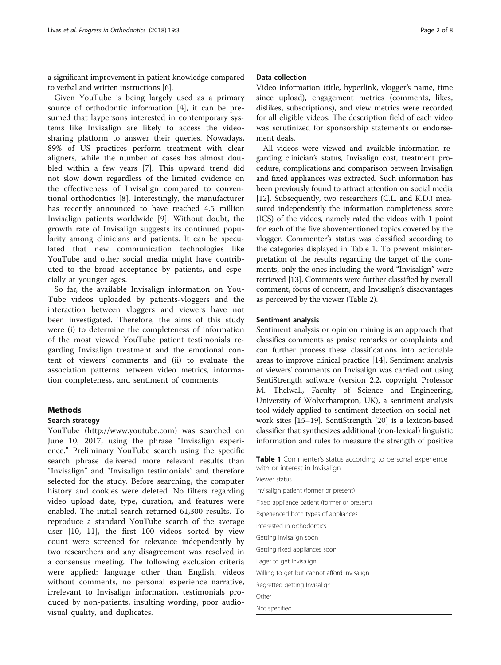a significant improvement in patient knowledge compared to verbal and written instructions [[6\]](#page-6-0).

Given YouTube is being largely used as a primary source of orthodontic information [\[4](#page-6-0)], it can be presumed that laypersons interested in contemporary systems like Invisalign are likely to access the videosharing platform to answer their queries. Nowadays, 89% of US practices perform treatment with clear aligners, while the number of cases has almost doubled within a few years [\[7](#page-6-0)]. This upward trend did not slow down regardless of the limited evidence on the effectiveness of Invisalign compared to conventional orthodontics [[8\]](#page-6-0). Interestingly, the manufacturer has recently announced to have reached 4.5 million Invisalign patients worldwide [[9\]](#page-6-0). Without doubt, the growth rate of Invisalign suggests its continued popularity among clinicians and patients. It can be speculated that new communication technologies like YouTube and other social media might have contributed to the broad acceptance by patients, and especially at younger ages.

So far, the available Invisalign information on You-Tube videos uploaded by patients-vloggers and the interaction between vloggers and viewers have not been investigated. Therefore, the aims of this study were (i) to determine the completeness of information of the most viewed YouTube patient testimonials regarding Invisalign treatment and the emotional content of viewers' comments and (ii) to evaluate the association patterns between video metrics, information completeness, and sentiment of comments.

## Methods

## Search strategy

YouTube (<http://www.youtube.com>) was searched on June 10, 2017, using the phrase "Invisalign experience." Preliminary YouTube search using the specific search phrase delivered more relevant results than "Invisalign" and "Invisalign testimonials" and therefore selected for the study. Before searching, the computer history and cookies were deleted. No filters regarding video upload date, type, duration, and features were enabled. The initial search returned 61,300 results. To reproduce a standard YouTube search of the average user [\[10](#page-6-0), [11](#page-6-0)], the first 100 videos sorted by view count were screened for relevance independently by two researchers and any disagreement was resolved in a consensus meeting. The following exclusion criteria were applied: language other than English, videos without comments, no personal experience narrative, irrelevant to Invisalign information, testimonials produced by non-patients, insulting wording, poor audiovisual quality, and duplicates.

Video information (title, hyperlink, vlogger's name, time since upload), engagement metrics (comments, likes, dislikes, subscriptions), and view metrics were recorded for all eligible videos. The description field of each video was scrutinized for sponsorship statements or endorsement deals.

All videos were viewed and available information regarding clinician's status, Invisalign cost, treatment procedure, complications and comparison between Invisalign and fixed appliances was extracted. Such information has been previously found to attract attention on social media [[12](#page-6-0)]. Subsequently, two researchers (C.L. and K.D.) measured independently the information completeness score (ICS) of the videos, namely rated the videos with 1 point for each of the five abovementioned topics covered by the vlogger. Commenter's status was classified according to the categories displayed in Table 1. To prevent misinterpretation of the results regarding the target of the comments, only the ones including the word "Invisalign" were retrieved [[13](#page-6-0)]. Comments were further classified by overall comment, focus of concern, and Invisalign's disadvantages as perceived by the viewer (Table [2](#page-2-0)).

### Sentiment analysis

Sentiment analysis or opinion mining is an approach that classifies comments as praise remarks or complaints and can further process these classifications into actionable areas to improve clinical practice [[14](#page-6-0)]. Sentiment analysis of viewers' comments on Invisalign was carried out using SentiStrength software (version 2.2, copyright Professor M. Thelwall, Faculty of Science and Engineering, University of Wolverhampton, UK), a sentiment analysis tool widely applied to sentiment detection on social network sites [\[15](#page-6-0)–[19](#page-6-0)]. SentiStrength [[20](#page-6-0)] is a lexicon-based classifier that synthesizes additional (non-lexical) linguistic information and rules to measure the strength of positive

| <b>Table 1</b> Commenter's status according to personal experience |  |  |
|--------------------------------------------------------------------|--|--|
| with or interest in Invisalign                                     |  |  |

| Viewer status                               |
|---------------------------------------------|
| Invisalign patient (former or present)      |
| Fixed appliance patient (former or present) |
| Experienced both types of appliances        |
| Interested in orthodontics                  |
| Getting Invisalign soon                     |
| Getting fixed appliances soon               |
| Eager to get Invisalign                     |
| Willing to get but cannot afford Invisalign |
| Regretted getting Invisalign                |
| Other                                       |
| Not specified                               |
|                                             |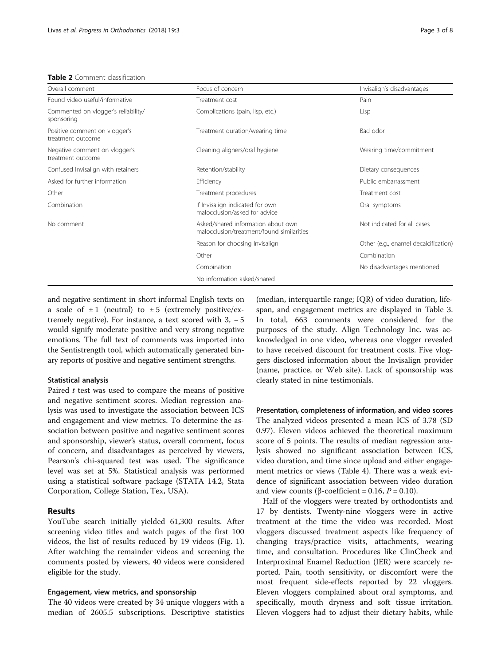#### <span id="page-2-0"></span>Table 2 Comment classification

| Overall comment                                    | Focus of concern                                                                | Invisalign's disadvantages           |
|----------------------------------------------------|---------------------------------------------------------------------------------|--------------------------------------|
| Found video useful/informative                     | Treatment cost                                                                  | Pain                                 |
| Commented on vlogger's reliability/<br>sponsoring  | Complications (pain, lisp, etc.)                                                | Lisp                                 |
| Positive comment on vlogger's<br>treatment outcome | Treatment duration/wearing time                                                 | Bad odor                             |
| Negative comment on vlogger's<br>treatment outcome | Cleaning aligners/oral hygiene                                                  | Wearing time/commitment              |
| Confused Invisalign with retainers                 | Retention/stability                                                             | Dietary consequences                 |
| Asked for further information                      | Efficiency                                                                      | Public embarrassment                 |
| Other                                              | Treatment procedures                                                            | Treatment cost                       |
| Combination                                        | If Invisalign indicated for own<br>malocclusion/asked for advice                | Oral symptoms                        |
| No comment                                         | Asked/shared information about own<br>malocclusion/treatment/found similarities | Not indicated for all cases          |
|                                                    | Reason for choosing Invisalign                                                  | Other (e.g., enamel decalcification) |
|                                                    | Other                                                                           | Combination                          |
|                                                    | Combination                                                                     | No disadvantages mentioned           |
|                                                    | No information asked/shared                                                     |                                      |

and negative sentiment in short informal English texts on a scale of  $\pm 1$  (neutral) to  $\pm 5$  (extremely positive/extremely negative). For instance, a text scored with  $3, -5$ would signify moderate positive and very strong negative emotions. The full text of comments was imported into the Sentistrength tool, which automatically generated binary reports of positive and negative sentiment strengths.

#### Statistical analysis

Paired  $t$  test was used to compare the means of positive and negative sentiment scores. Median regression analysis was used to investigate the association between ICS and engagement and view metrics. To determine the association between positive and negative sentiment scores and sponsorship, viewer's status, overall comment, focus of concern, and disadvantages as perceived by viewers, Pearson's chi-squared test was used. The significance level was set at 5%. Statistical analysis was performed using a statistical software package (STATA 14.2, Stata Corporation, College Station, Tex, USA).

## Results

YouTube search initially yielded 61,300 results. After screening video titles and watch pages of the first 100 videos, the list of results reduced by 19 videos (Fig. [1](#page-3-0)). After watching the remainder videos and screening the comments posted by viewers, 40 videos were considered eligible for the study.

#### Engagement, view metrics, and sponsorship

The 40 videos were created by 34 unique vloggers with a median of 2605.5 subscriptions. Descriptive statistics

(median, interquartile range; IQR) of video duration, lifespan, and engagement metrics are displayed in Table [3](#page-3-0). In total, 663 comments were considered for the purposes of the study. Align Technology Inc. was acknowledged in one video, whereas one vlogger revealed to have received discount for treatment costs. Five vloggers disclosed information about the Invisalign provider (name, practice, or Web site). Lack of sponsorship was clearly stated in nine testimonials.

Presentation, completeness of information, and video scores The analyzed videos presented a mean ICS of 3.78 (SD 0.97). Eleven videos achieved the theoretical maximum score of 5 points. The results of median regression analysis showed no significant association between ICS, video duration, and time since upload and either engagement metrics or views (Table [4\)](#page-3-0). There was a weak evidence of significant association between video duration and view counts (β-coefficient = 0.16,  $P = 0.10$ ).

Half of the vloggers were treated by orthodontists and 17 by dentists. Twenty-nine vloggers were in active treatment at the time the video was recorded. Most vloggers discussed treatment aspects like frequency of changing trays/practice visits, attachments, wearing time, and consultation. Procedures like ClinCheck and Interproximal Enamel Reduction (IER) were scarcely reported. Pain, tooth sensitivity, or discomfort were the most frequent side-effects reported by 22 vloggers. Eleven vloggers complained about oral symptoms, and specifically, mouth dryness and soft tissue irritation. Eleven vloggers had to adjust their dietary habits, while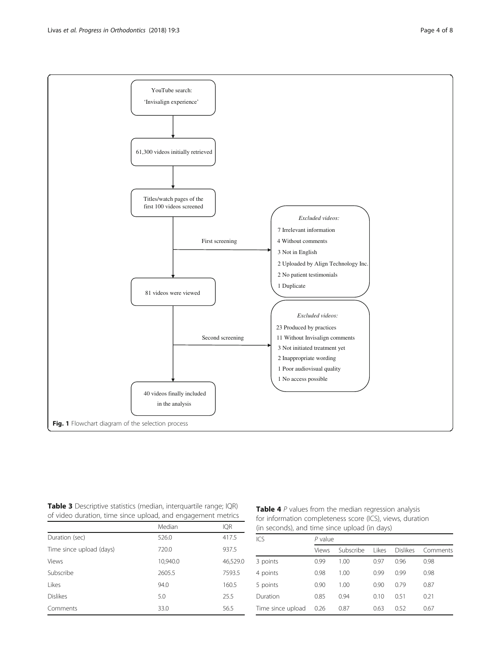<span id="page-3-0"></span>

Table 3 Descriptive statistics (median, interquartile range; IQR) of video duration, time since upload, and engagement metrics

|                          | Median   | <b>IQR</b> |
|--------------------------|----------|------------|
| Duration (sec)           | 526.0    | 417.5      |
| Time since upload (days) | 720.0    | 937.5      |
| <b>Views</b>             | 10,940.0 | 46,529.0   |
| Subscribe                | 2605.5   | 7593.5     |
| Likes                    | 94.0     | 160.5      |
| <b>Dislikes</b>          | 5.0      | 25.5       |
| Comments                 | 33.0     | 56.5       |

| Table 4 P values from the median regression analysis      |
|-----------------------------------------------------------|
| for information completeness score (ICS), views, duration |
| (in seconds), and time since upload (in days)             |

| ICS               | $P$ value |           |        |                 |          |
|-------------------|-----------|-----------|--------|-----------------|----------|
|                   | Views     | Subscribe | l ikes | <b>Dislikes</b> | Comments |
| 3 points          | 0.99      | 1.00      | 0.97   | 0.96            | 0.98     |
| 4 points          | 0.98      | 1.00      | 0.99   | 0.99            | 0.98     |
| 5 points          | 0.90      | 1.00      | 0.90   | 0.79            | 0.87     |
| Duration          | 0.85      | 0.94      | 0.10   | 0.51            | 0.21     |
| Time since upload | 0.26      | 0.87      | 0.63   | 0.52            | 0.67     |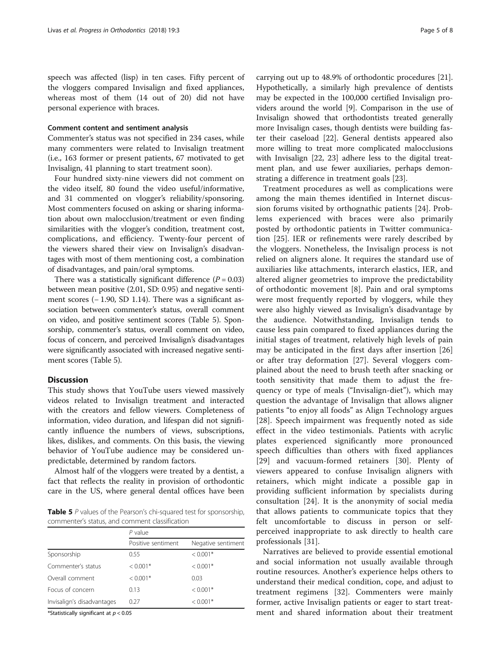speech was affected (lisp) in ten cases. Fifty percent of the vloggers compared Invisalign and fixed appliances, whereas most of them (14 out of 20) did not have personal experience with braces.

#### Comment content and sentiment analysis

Commenter's status was not specified in 234 cases, while many commenters were related to Invisalign treatment (i.e., 163 former or present patients, 67 motivated to get Invisalign, 41 planning to start treatment soon).

Four hundred sixty-nine viewers did not comment on the video itself, 80 found the video useful/informative, and 31 commented on vlogger's reliability/sponsoring. Most commenters focused on asking or sharing information about own malocclusion/treatment or even finding similarities with the vlogger's condition, treatment cost, complications, and efficiency. Twenty-four percent of the viewers shared their view on Invisalign's disadvantages with most of them mentioning cost, a combination of disadvantages, and pain/oral symptoms.

There was a statistically significant difference  $(P = 0.03)$ between mean positive (2.01, SD: 0.95) and negative sentiment scores (− 1.90, SD 1.14). There was a significant association between commenter's status, overall comment on video, and positive sentiment scores (Table 5). Sponsorship, commenter's status, overall comment on video, focus of concern, and perceived Invisalign's disadvantages were significantly associated with increased negative sentiment scores (Table 5).

# **Discussion**

This study shows that YouTube users viewed massively videos related to Invisalign treatment and interacted with the creators and fellow viewers. Completeness of information, video duration, and lifespan did not significantly influence the numbers of views, subscriptions, likes, dislikes, and comments. On this basis, the viewing behavior of YouTube audience may be considered unpredictable, determined by random factors.

Almost half of the vloggers were treated by a dentist, a fact that reflects the reality in provision of orthodontic care in the US, where general dental offices have been

Table 5 P values of the Pearson's chi-squared test for sponsorship, commenter's status, and comment classification

|                            | $P$ value          |                    |  |
|----------------------------|--------------------|--------------------|--|
|                            | Positive sentiment | Negative sentiment |  |
| Sponsorship                | 0.55               | $< 0.001*$         |  |
| Commenter's status         | $< 0.001*$         | $< 0.001*$         |  |
| Overall comment            | $< 0.001*$         | 0.03               |  |
| Focus of concern           | 0.13               | $< 0.001*$         |  |
| Invisalign's disadvantages | 0.27               | $< 0.001*$         |  |

\*Statistically significant at  $p < 0.05$ 

carrying out up to 48.9% of orthodontic procedures [\[21](#page-6-0)]. Hypothetically, a similarly high prevalence of dentists may be expected in the 100,000 certified Invisalign providers around the world [[9](#page-6-0)]. Comparison in the use of Invisalign showed that orthodontists treated generally more Invisalign cases, though dentists were building faster their caseload [\[22](#page-6-0)]. General dentists appeared also more willing to treat more complicated malocclusions with Invisalign [\[22](#page-6-0), [23](#page-6-0)] adhere less to the digital treatment plan, and use fewer auxiliaries, perhaps demonstrating a difference in treatment goals [[23](#page-6-0)].

Treatment procedures as well as complications were among the main themes identified in Internet discussion forums visited by orthognathic patients [[24\]](#page-6-0). Problems experienced with braces were also primarily posted by orthodontic patients in Twitter communication [[25\]](#page-6-0). IER or refinements were rarely described by the vloggers. Nonetheless, the Invisalign process is not relied on aligners alone. It requires the standard use of auxiliaries like attachments, interarch elastics, IER, and altered aligner geometries to improve the predictability of orthodontic movement [[8\]](#page-6-0). Pain and oral symptoms were most frequently reported by vloggers, while they were also highly viewed as Invisalign's disadvantage by the audience. Notwithstanding, Invisalign tends to cause less pain compared to fixed appliances during the initial stages of treatment, relatively high levels of pain may be anticipated in the first days after insertion [\[26](#page-6-0)] or after tray deformation [[27\]](#page-6-0). Several vloggers complained about the need to brush teeth after snacking or tooth sensitivity that made them to adjust the frequency or type of meals ("Invisalign-diet"), which may question the advantage of Invisalign that allows aligner patients "to enjoy all foods" as Align Technology argues [[28\]](#page-6-0). Speech impairment was frequently noted as side effect in the video testimonials. Patients with acrylic plates experienced significantly more pronounced speech difficulties than others with fixed appliances [[29\]](#page-6-0) and vacuum-formed retainers [\[30](#page-6-0)]. Plenty of viewers appeared to confuse Invisalign aligners with retainers, which might indicate a possible gap in providing sufficient information by specialists during consultation [\[24](#page-6-0)]. It is the anonymity of social media that allows patients to communicate topics that they felt uncomfortable to discuss in person or selfperceived inappropriate to ask directly to health care professionals [[31\]](#page-6-0).

Narratives are believed to provide essential emotional and social information not usually available through routine resources. Another's experience helps others to understand their medical condition, cope, and adjust to treatment regimens [[32\]](#page-6-0). Commenters were mainly former, active Invisalign patients or eager to start treatment and shared information about their treatment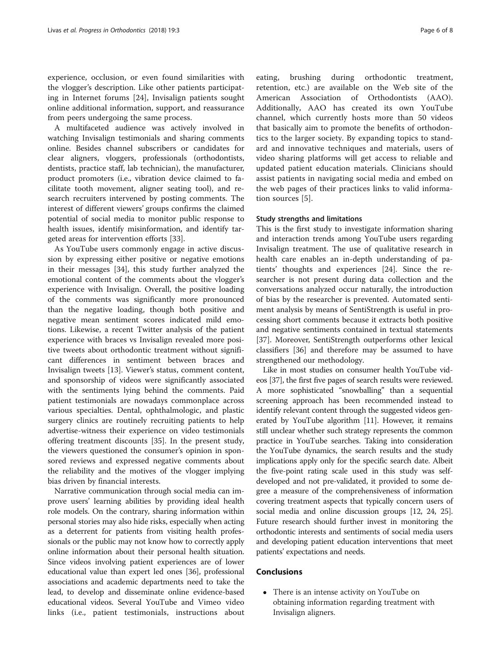experience, occlusion, or even found similarities with the vlogger's description. Like other patients participating in Internet forums [\[24](#page-6-0)], Invisalign patients sought online additional information, support, and reassurance from peers undergoing the same process.

A multifaceted audience was actively involved in watching Invisalign testimonials and sharing comments online. Besides channel subscribers or candidates for clear aligners, vloggers, professionals (orthodontists, dentists, practice staff, lab technician), the manufacturer, product promoters (i.e., vibration device claimed to facilitate tooth movement, aligner seating tool), and research recruiters intervened by posting comments. The interest of different viewers' groups confirms the claimed potential of social media to monitor public response to health issues, identify misinformation, and identify targeted areas for intervention efforts [[33\]](#page-6-0).

As YouTube users commonly engage in active discussion by expressing either positive or negative emotions in their messages [[34](#page-6-0)], this study further analyzed the emotional content of the comments about the vlogger's experience with Invisalign. Overall, the positive loading of the comments was significantly more pronounced than the negative loading, though both positive and negative mean sentiment scores indicated mild emotions. Likewise, a recent Twitter analysis of the patient experience with braces vs Invisalign revealed more positive tweets about orthodontic treatment without significant differences in sentiment between braces and Invisalign tweets [[13\]](#page-6-0). Viewer's status, comment content, and sponsorship of videos were significantly associated with the sentiments lying behind the comments. Paid patient testimonials are nowadays commonplace across various specialties. Dental, ophthalmologic, and plastic surgery clinics are routinely recruiting patients to help advertise-witness their experience on video testimonials offering treatment discounts [[35\]](#page-6-0). In the present study, the viewers questioned the consumer's opinion in sponsored reviews and expressed negative comments about the reliability and the motives of the vlogger implying bias driven by financial interests.

Narrative communication through social media can improve users' learning abilities by providing ideal health role models. On the contrary, sharing information within personal stories may also hide risks, especially when acting as a deterrent for patients from visiting health professionals or the public may not know how to correctly apply online information about their personal health situation. Since videos involving patient experiences are of lower educational value than expert led ones [[36\]](#page-7-0), professional associations and academic departments need to take the lead, to develop and disseminate online evidence-based educational videos. Several YouTube and Vimeo video links (i.e., patient testimonials, instructions about eating, brushing during orthodontic treatment, retention, etc.) are available on the Web site of the American Association of Orthodontists (AAO). Additionally, AAO has created its own YouTube channel, which currently hosts more than 50 videos that basically aim to promote the benefits of orthodontics to the larger society. By expanding topics to standard and innovative techniques and materials, users of video sharing platforms will get access to reliable and updated patient education materials. Clinicians should assist patients in navigating social media and embed on the web pages of their practices links to valid information sources [[5\]](#page-6-0).

#### Study strengths and limitations

This is the first study to investigate information sharing and interaction trends among YouTube users regarding Invisalign treatment. The use of qualitative research in health care enables an in-depth understanding of patients' thoughts and experiences [\[24](#page-6-0)]. Since the researcher is not present during data collection and the conversations analyzed occur naturally, the introduction of bias by the researcher is prevented. Automated sentiment analysis by means of SentiStrength is useful in processing short comments because it extracts both positive and negative sentiments contained in textual statements [[37\]](#page-7-0). Moreover, SentiStrength outperforms other lexical classifiers [[36](#page-7-0)] and therefore may be assumed to have strengthened our methodology.

Like in most studies on consumer health YouTube videos [\[37\]](#page-7-0), the first five pages of search results were reviewed. A more sophisticated "snowballing" than a sequential screening approach has been recommended instead to identify relevant content through the suggested videos generated by YouTube algorithm [[11](#page-6-0)]. However, it remains still unclear whether such strategy represents the common practice in YouTube searches. Taking into consideration the YouTube dynamics, the search results and the study implications apply only for the specific search date. Albeit the five-point rating scale used in this study was selfdeveloped and not pre-validated, it provided to some degree a measure of the comprehensiveness of information covering treatment aspects that typically concern users of social media and online discussion groups [[12](#page-6-0), [24, 25](#page-6-0)]. Future research should further invest in monitoring the orthodontic interests and sentiments of social media users and developing patient education interventions that meet patients' expectations and needs.

# Conclusions

 There is an intense activity on YouTube on obtaining information regarding treatment with Invisalign aligners.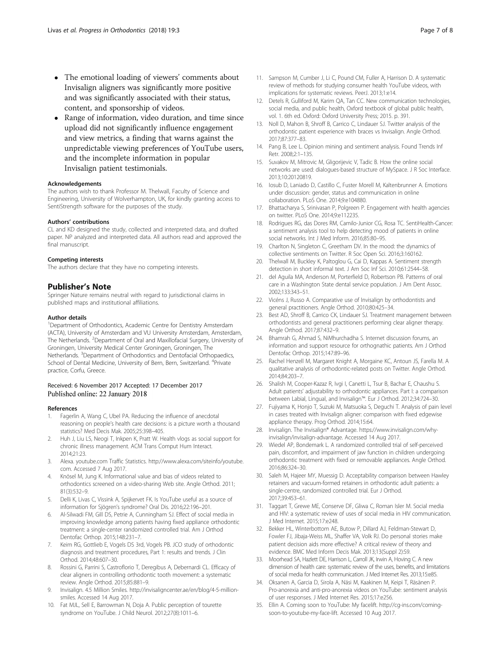- <span id="page-6-0"></span> The emotional loading of viewers' comments about Invisalign aligners was significantly more positive and was significantly associated with their status, content, and sponsorship of videos.
- Range of information, video duration, and time since upload did not significantly influence engagement and view metrics, a finding that warns against the unpredictable viewing preferences of YouTube users, and the incomplete information in popular Invisalign patient testimonials.

#### Acknowledgements

The authors wish to thank Professor M. Thelwall, Faculty of Science and Engineering, University of Wolverhampton, UK, for kindly granting access to SentiStrength software for the purposes of the study.

#### Authors' contributions

CL and KD designed the study, collected and interpreted data, and drafted paper. NP analyzed and interpreted data. All authors read and approved the final manuscript.

#### Competing interests

The authors declare that they have no competing interests.

#### Publisher's Note

Springer Nature remains neutral with regard to jurisdictional claims in published maps and institutional affiliations.

#### Author details

<sup>1</sup>Department of Orthodontics, Academic Centre for Dentistry Amsterdam (ACTA), University of Amsterdam and VU University Amsterdam, Amsterdam, The Netherlands. <sup>2</sup> Department of Oral and Maxillofacial Surgery, University of Groningen, University Medical Center Groningen, Groningen, The Netherlands.<sup>3</sup> Department of Orthodontics and Dentofacial Orthopaedics, School of Dental Medicine, University of Bern, Bern, Switzerland. <sup>4</sup>Private practice, Corfu, Greece.

### Received: 6 November 2017 Accepted: 17 December 2017 Published online: 22 January 2018

#### References

- Fagerlin A, Wang C, Ubel PA. Reducing the influence of anecdotal reasoning on people's health care decisions: is a picture worth a thousand statistics? Med Decis Mak. 2005;25:398–405.
- 2. Huh J, Liu LS, Neogi T, Inkpen K, Pratt W. Health vlogs as social support for chronic illness management. ACM Trans Comput Hum Interact. 2014;21:23.
- 3. Alexa. [youtube.com](http://youtube.com) Traffic Statistics. [http://www.alexa.com/siteinfo/youtube.](http://www.alexa.com/siteinfo/youtube.com) [com](http://www.alexa.com/siteinfo/youtube.com). Accessed 7 Aug 2017.
- 4. Knösel M, Jung K. Informational value and bias of videos related to orthodontics screened on a video-sharing Web site. Angle Orthod. 2011; 81(3):532–9.
- 5. Delli K, Livas C, Vissink A, Spijkervet FK. Is YouTube useful as a source of information for Sjögren's syndrome? Oral Dis. 2016;22:196–201.
- 6. Al-Silwadi FM, Gill DS, Petrie A, Cunningham SJ. Effect of social media in improving knowledge among patients having fixed appliance orthodontic treatment: a single-center randomized controlled trial. Am J Orthod Dentofac Orthop. 2015;148:231–7.
- 7. Keim RG, Gottlieb E, Vogels DS 3rd, Vogels PB. JCO study of orthodontic diagnosis and treatment procedures, Part 1: results and trends. J Clin Orthod. 2014;48:607–30.
- 8. Rossini G, Parrini S, Castroflorio T, Deregibus A, Debernardi CL. Efficacy of clear aligners in controlling orthodontic tooth movement: a systematic review. Angle Orthod. 2015;85:881–9.
- 9. Invisalign. 4.5 Million Smiles. [http://invisaligncenter.ae/en/blog/4-5-million](http://invisaligncenter.ae/en/blog/4-5-million-smiles)[smiles](http://invisaligncenter.ae/en/blog/4-5-million-smiles). Accessed 14 Aug 2017.
- 10. Fat MJL, Sell E, Barrowman N, Doja A. Public perception of tourette syndrome on YouTube. J Child Neurol. 2012;27(8):1011–6.
- 11. Sampson M, Cumber J, Li C, Pound CM, Fuller A, Harrison D. A systematic review of methods for studying consumer health YouTube videos, with implications for systematic reviews. PeerJ. 2013;1:e14.
- 12. Detels R, Gulliford M, Karim QA, Tan CC. New communication technologies, social media, and public health, Oxford textbook of global public health, vol. 1. 6th ed. Oxford: Oxford University Press; 2015. p. 391.
- 13. Noll D, Mahon B, Shroff B, Carrico C, Lindauer SJ. Twitter analysis of the orthodontic patient experience with braces vs Invisalign. Angle Orthod. 2017;87:377–83.
- 14. Pang B, Lee L. Opinion mining and sentiment analysis. Found Trends Inf Retr. 2008;2:1–135.
- 15. Suvakov M, Mitrovic M, Gligorijevic V, Tadic B. How the online social networks are used: dialogues-based structure of MySpace. J R Soc Interface. 2013;10:20120819.
- 16. Iosub D, Laniado D, Castillo C, Fuster Morell M, Kaltenbrunner A. Emotions under discussion: gender, status and communication in online collaboration. PLoS One. 2014;9:e104880.
- 17. Bhattacharya S, Srinivasan P, Polgreen P. Engagement with health agencies on twitter. PLoS One. 2014;9:e112235.
- 18. Rodrigues RG, das Dores RM, Camilo-Junior CG, Rosa TC. SentiHealth-Cancer: a sentiment analysis tool to help detecting mood of patients in online social networks. Int J Med Inform. 2016;85:80–95.
- 19. Charlton N, Singleton C, Greetham DV. In the mood: the dynamics of collective sentiments on Twitter. R Soc Open Sci. 2016;3:160162.
- 20. Thelwall M, Buckley K, Paltoglou G, Cai D, Kappas A. Sentiment strength detection in short informal text. J Am Soc Inf Sci. 2010;61:2544–58.
- 21. del Aguila MA, Anderson M, Porterfield D, Robertson PB. Patterns of oral care in a Washington State dental service population. J Am Dent Assoc. 2002;133:343–51.
- 22. Vicéns J, Russo A. Comparative use of Invisalign by orthodontists and general practitioners. Angle Orthod. 2010;80:425–34.
- 23. Best AD, Shroff B, Carrico CK, Lindauer SJ. Treatment management between orthodontists and general practitioners performing clear aligner therapy. Angle Orthod. 2017;87:432–9.
- 24. Bhamrah G, Ahmad S, NiMhurchadha S. Internet discussion forums, an information and support resource for orthognathic patients. Am J Orthod Dentofac Orthop. 2015;147:89–96.
- 25. Rachel Henzell M, Margaret Knight A, Morgaine KC, Antoun JS, Farella M. A qualitative analysis of orthodontic-related posts on Twitter. Angle Orthod. 2014;84:203–7.
- 26. Shalish M, Cooper-Kazaz R, Ivgi I, Canetti L, Tsur B, Bachar E, Chaushu S. Adult patients' adjustability to orthodontic appliances. Part I: a comparison between Labial, Lingual, and Invisalign™. Eur J Orthod. 2012;34:724–30.
- 27. Fujiyama K, Honjo T, Suzuki M, Matsuoka S, Deguchi T. Analysis of pain level in cases treated with Invisalign aligner: comparison with fixed edgewise appliance therapy. Prog Orthod. 2014;15:64.
- 28. Invisalign. The Invisalign® Advantage. [https://www.invisalign.com/why](https://www.invisalign.com/why-invisalign/invisalign-advantage)[invisalign/invisalign-advantage.](https://www.invisalign.com/why-invisalign/invisalign-advantage) Accessed 14 Aug 2017.
- 29. Wiedel AP, Bondemark L. A randomized controlled trial of self-perceived pain, discomfort, and impairment of jaw function in children undergoing orthodontic treatment with fixed or removable appliances. Angle Orthod. 2016;86:324–30.
- 30. Saleh M, Hajeer MY, Muessig D. Acceptability comparison between Hawley retainers and vacuum-formed retainers in orthodontic adult patients: a single-centre, randomized controlled trial. Eur J Orthod. 2017;39:453–61.
- 31. Taggart T, Grewe ME, Conserve DF, Gliwa C, Roman Isler M. Social media and HIV: a systematic review of uses of social media in HIV communication. J Med Internet. 2015;17:e248.
- 32. Bekker HL, Winterbottom AE, Butow P, Dillard AJ, Feldman-Stewart D, Fowler FJ, Jibaja-Weiss ML, Shaffer VA, Volk RJ. Do personal stories make patient decision aids more effective? A critical review of theory and evidence. BMC Med Inform Decis Mak. 2013;13(Suppl 2):S9.
- 33. Moorhead SA, Hazlett DE, Harrison L, Carroll JK, Irwin A, Hoving C. A new dimension of health care: systematic review of the uses, benefits, and limitations of social media for health communication. J Med Internet Res. 2013;15:e85.
- 34. Oksanen A, Garcia D, Sirola A, Näsi M, Kaakinen M, Keipi T, Räsänen P. Pro-anorexia and anti-pro-anorexia videos on YouTube: sentiment analysis of user responses. J Med Internet Res. 2015;17:e256.
- 35. Ellin A. Coming soon to YouTube: My facelift. [http://cg-ins.com/coming](http://cg-ins.com/coming-soon-to-youtube-my-face-lift)[soon-to-youtube-my-face-lift](http://cg-ins.com/coming-soon-to-youtube-my-face-lift). Accessed 10 Aug 2017.